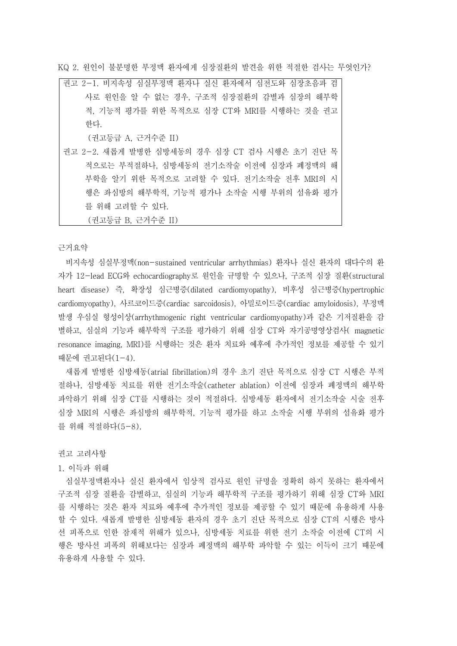KQ 2. 원인이 불분명한 부정맥 환자에게 심장질환의 발견을 위한 적절한 검사는 무엇인가?

권고 2-1. 비지속성 심실부정맥 환자나 실신 환자에서 심전도와 심장초음파 검 사로 원인을 알 수 없는 경우, 구조적 심장질환의 감별과 심장의 해부학 적, 기능적 평가를 위한 목적으로 심장 CT와 MRI를 시행하는 것을 권고 한다.

(권고등급 A, 근거수준 II)

권고 2-2. 새롭게 발병한 심방세동의 경우 심장 CT 검사 시행은 초기 진단 목 적으로는 부적절하나, 심방세동의 전기소작술 이전에 심장과 폐정맥의 해 부학을 알기 위한 목적으로 고려할 수 있다. 전기소작술 전후 MRI의 시 행은 좌심방의 해부학적, 기능적 평가나 소작술 시행 부위의 섬유화 평가 를 위해 고려할 수 있다.<br>(권고등급 B, 근거수준 II)

근거요약

비지속성 심실부정맥(non-sustained ventricular arrhythmias) 환자나 실신 환자의 대다수의 환 자가 12-lead ECG와 echocardiography로 원인을 규명할 수 있으나, 구조적 심장 질환(structural heart disease) 즉, 확장성 심근병증(dilated cardiomyopathy), 비후성 심근병증(hypertrophic cardiomyopathy), 사르코이드증(cardiac sarcoidosis), 아밀로이드증(cardiac amyloidosis), 부정맥 발생 우심실 형성이상(arrhythmogenic right ventricular cardiomyopathy)과 같은 기저질환을 감 별하고, 심실의 기능과 해부학적 구조를 평가하기 위해 심장 CT와 자기공명영상검사( magnetic resonance imaging, MRI)를 시행하는 것은 환자 치료와 예후에 추가적인 정보를 제공할 수 있기 때문에 권고된다(1-4).

새롭게 발병한 심방세동(atrial fibrillation)의 경우 초기 진단 목적으로 심장 CT 시행은 부적 절하나, 심방세동 치료를 위한 전기소작술(catheter ablation) 이전에 심장과 폐정맥의 해부학 파악하기 위해 심장 CT를 시행하는 것이 적절하다. 심방세동 환자에서 전기소작술 시술 전후 심장 MRI의 시행은 좌심방의 해부학적, 기능적 평가를 하고 소작술 시행 부위의 섬유화 평가 를 위해 적절하다(5-8).

권고 고려사항

1. 이득과 위해

심실부정맥환자나 실신 환자에서 임상적 검사로 원인 규명을 정확히 하지 못하는 환자에서 구조적 심장 질환을 감별하고, 심실의 기능과 해부학적 구조를 평가하기 위해 심장 CT와 MRI 를 시행하는 것은 환자 치료와 예후에 추가적인 정보를 제공할 수 있기 때문에 유용하게 사용 할 수 있다. 새롭게 발병한 심방세동 환자의 경우 초기 진단 목적으로 심장 CT의 시행은 방사 선 피폭으로 인한 잠재적 위해가 있으나, 심방세동 치료를 위한 전기 소작술 이전에 CT의 시 행은 방사선 피폭의 위해보다는 심장과 폐정맥의 해부학 파악할 수 있는 이득이 크기 때문에 유용하게 사용할 수 있다.